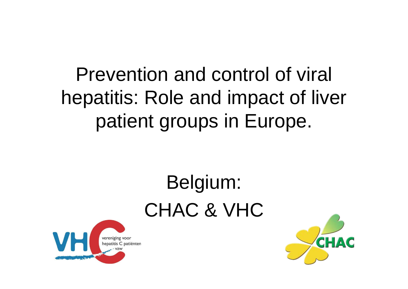## Prevention and control of viral hepatitis: Role and impact of liver patient groups in Europe.

## Belgium: CHAC & VHC



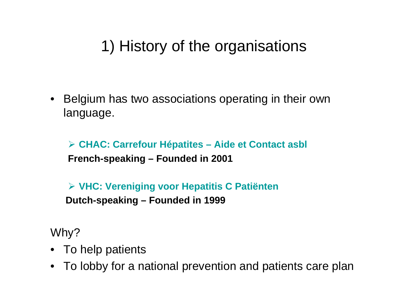## 1) History of the organisations

• Belgium has two associations operating in their own language.

¾ **CHAC: Carrefour Hépatites – Aide et Contact asbl French-speaking – Founded in 2001**

¾ **VHC: Vereniging voor Hepatitis C Patiënten Dutch-speaking – Founded in 1999**

Why?

- To help patients
- To lobby for a national prevention and patients care plan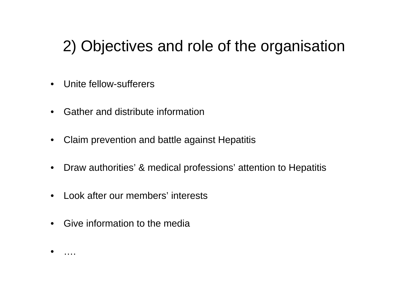## 2) Objectives and role of the organisation

- Unite fellow-sufferers
- Gather and distribute information
- Claim prevention and battle against Hepatitis
- Draw authorities' & medical professions' attention to Hepatitis
- Look after our members' interests
- Give information to the media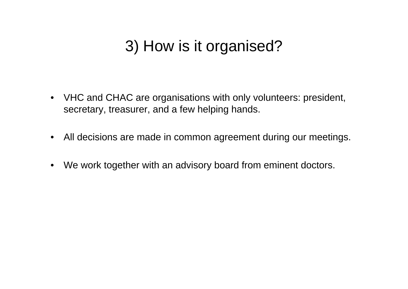## 3) How is it organised?

- VHC and CHAC are organisations with only volunteers: president, secretary, treasurer, and a few helping hands.
- All decisions are made in common agreement during our meetings.
- We work together with an advisory board from eminent doctors.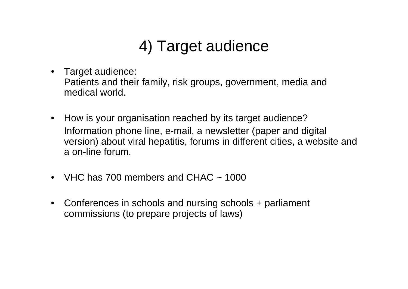## 4) Target audience

- Target audience: Patients and their family, risk groups, government, media and medical world.
- How is your organisation reached by its target audience? Information phone line, e-mail, a newsletter (paper and digital version) about viral hepatitis, forums in different cities, a website and a on-line forum.
- VHC has  $700$  members and CHAC  $\sim$  1000
- Conferences in schools and nursing schools + parliament commissions (to prepare projects of laws)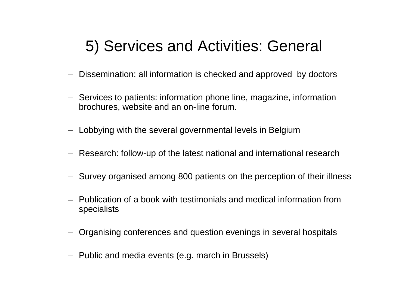## 5) Services and Activities: General

- Dissemination: all information is checked and approved by doctors
- Services to patients: information phone line, magazine, information brochures, website and an on-line forum.
- Lobbying with the several governmental levels in Belgium
- Research: follow-up of the latest national and international research
- Survey organised among 800 patients on the perception of their illness
- Publication of a book with testimonials and medical information from specialists
- Organising conferences and question evenings in several hospitals
- Public and media events (e.g. march in Brussels)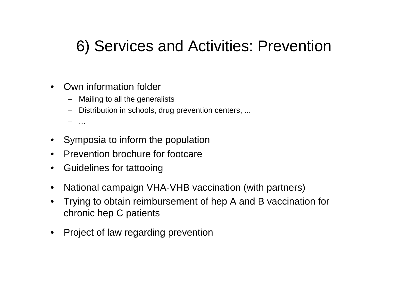## 6) Services and Activities: Prevention

- Own information folder
	- Mailing to all the generalists
	- Distribution in schools, drug prevention centers, ...

– ...

- Symposia to inform the population
- Prevention brochure for footcare
- Guidelines for tattooing
- National campaign VHA-VHB vaccination (with partners)
- Trying to obtain reimbursement of hep A and B vaccination for chronic hep C patients
- Project of law regarding prevention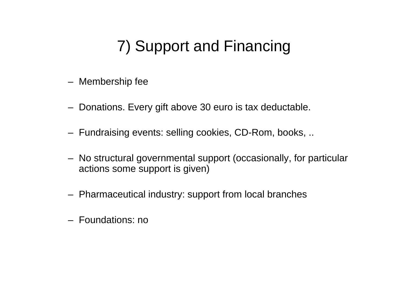## 7) Support and Financing

- Membership fee
- Donations. Every gift above 30 euro is tax deductable.
- Fundraising events: selling cookies, CD-Rom, books, ..
- No structural governmental support (occasionally, for particular actions some support is given)
- Pharmaceutical industry: support from local branches
- Foundations: no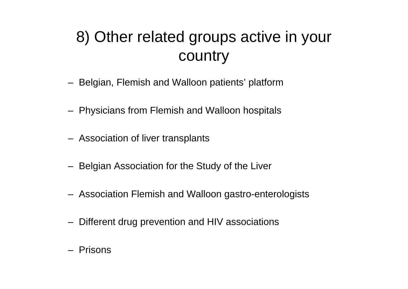## 8) Other related groups active in your country

- Belgian, Flemish and Walloon patients' platform
- Physicians from Flemish and Walloon hospitals
- Association of liver transplants
- Belgian Association for the Study of the Liver
- Association Flemish and Walloon gastro-enterologists
- Different drug prevention and HIV associations
- Prisons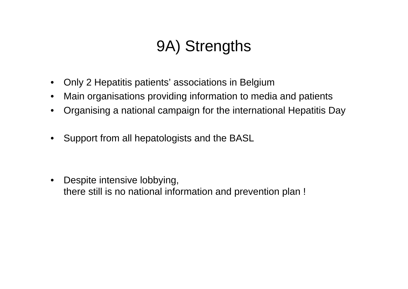## 9A) Strengths

- Only 2 Hepatitis patients' associations in Belgium
- Main organisations providing information to media and patients
- Organising a national campaign for the international Hepatitis Day
- Support from all hepatologists and the BASL

• Despite intensive lobbying, there still is no national information and prevention plan !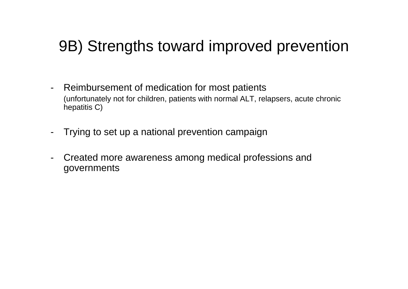### 9B) Strengths toward improved prevention

- Reimbursement of medication for most patients (unfortunately not for children, patients with normal ALT, relapsers, acute chronic hepatitis C)
- Trying to set up a national prevention campaign
- Created more awareness among medical professions and governments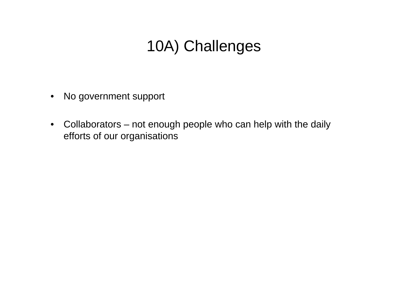## 10A) Challenges

- No government support
- Collaborators not enough people who can help with the daily efforts of our organisations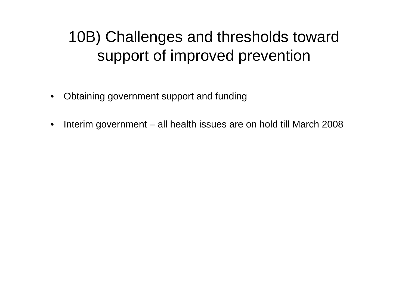## 10B) Challenges and thresholds toward support of improved prevention

- Obtaining government support and funding
- Interim government all health issues are on hold till March 2008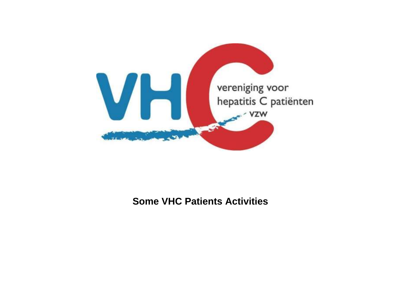

#### **Some VHC Patients Activities**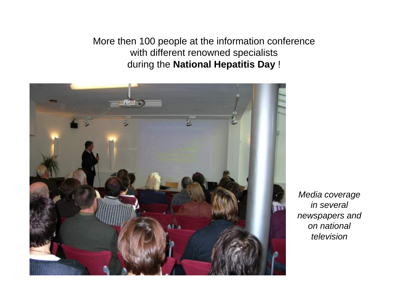More then 100 people at the information conference with different renowned specialists during the **National Hepatitis Day** !



*Media coverage in several newspapers and on national television*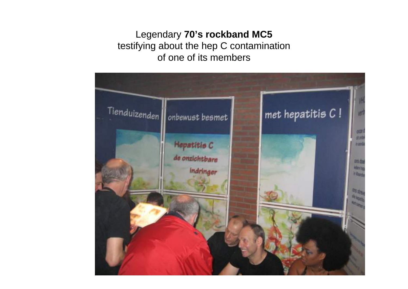#### Legendary **70's rockband MC5**  testifying about the hep C contamination of one of its members

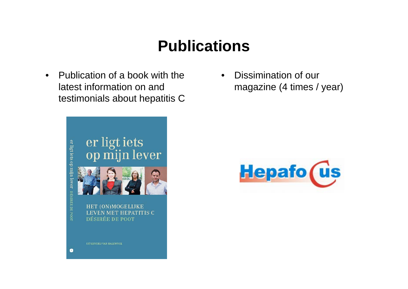## **Publications**

• Publication of a book with the latest information on and testimonials about hepatitis C



• Dissimination of our magazine (4 times / year)

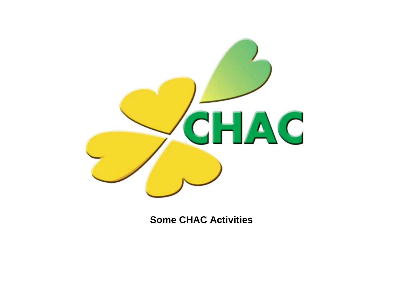

#### **Some CHAC Activities**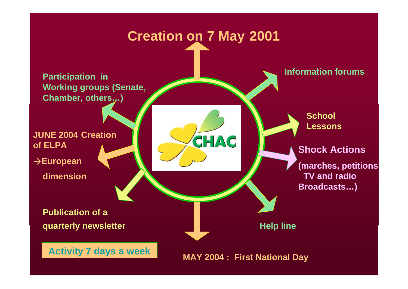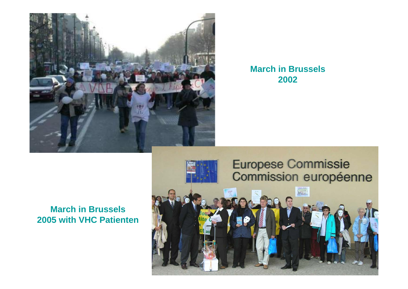

#### **March in Brussels 2002**

#### **March in Brussels 2005 with VHC Patienten**

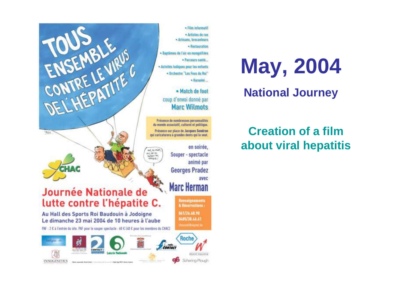· Film informatif · Artistes de rue - Artisans, brocanteurs - Restauration · Baptêmes de l'air en mongolfière · Parcours santé... - Actyltés ladiques pour les enfants - Orchestre "Les Foes du Roi" - Karaoké

> · Match de foot coup d'envoi donné par **Marc Wilmots**

Présence de nombreuses personnalités du monde associatif, culturel et politique. Présence sur place de Jacques Sondren qui caricaturera à grandes dents qui le yeut.

WAT, DU MINUTE enc let in

**MARKET** 

en soirée. Souper - spectacle animé par **Georges Pradez** avec **Marc Herman** 

> **Renseignements** & Réservations:

861/26.68.90 0485/38.46.61

charastilluignet.be

#### **Journée Nationale de** lutte contre l'hépatite C.

DEL HEPATITE

**Statut** 

Au Hall des Sports Roi Baudouin à Jodoigne Le dimanche 23 mai 2004 de 10 heures à l'aube

PAF : 2 € à l'entrée du site. PAF pour le souper spectacle : 60 € 140 € pour les membres du CHAC)



**May, 2004 National Journey**

### **Creation of a film about viral hepatitis**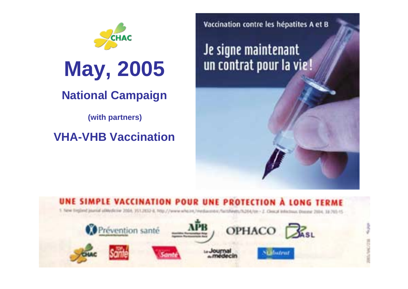

# **May, 2005**

### **National Campaign**

**(with partners)** 

### **VHA-VHB Vaccination**

Vaccination contre les hépatites A et B

Je signe maintenant un contrat pour la vie!



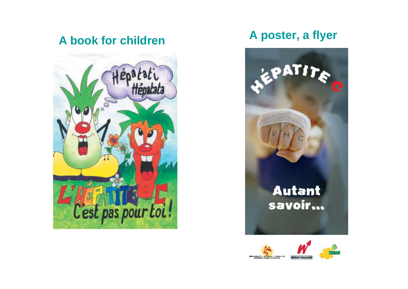**A book for children**



### **A poster, a flyer**





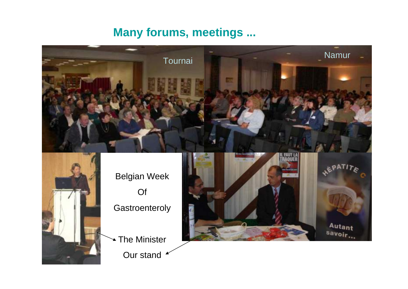#### **Many forums, meetings ...**



Belgian Week Of **Gastroenteroly** 

The Minister Our stand

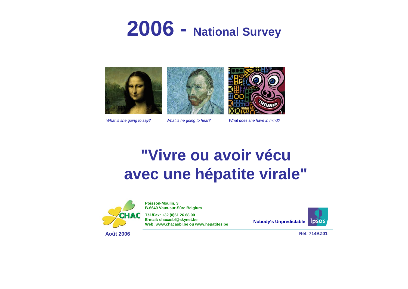## **2006 - National Survey**







*What is she going to say? What is he going to hear? What does she have in mind?*

### **"Vivre ou avoir vécuavec une hépatite virale"**



**Poisson-Moulin, 3 B-6640 Vaux-sur-Sûre Belgium**

**Tél./Fax: +32 (0)61 26 68 90 E-mail: chacasbl@skynet.be Web: www.chacasbl.be ou www.hepatites.be**

**Nobody's Unpredictable**



**Août 2006**

**Réf. 714BZ01**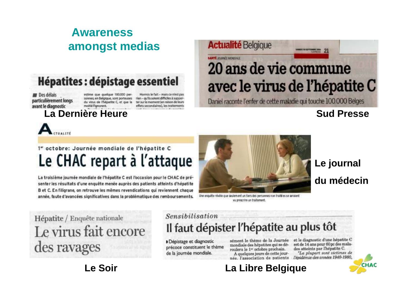### **Awarenessamongst medias**

### **Hépatites : dépistage essentiel**

**Des délais** particulièrement longs avant le diagnostic

estime que quelque 100.000 personnes, en Belgique, sont porteuses du virus de l'hépatité C, et que la moitié l'Ignorent.

Hormis le fait - mais ce n'est pas rien - qu'ils soient difficiles à supporter sur le moment (en raison de leurs effets secondaires), les traitements

#### **La Dernière Heure**

### **LANTE JOURNEY MONDIALE** 20 ans de vie commune avec le virus de l'hépatite C

LAMBER DE KENTSBIRDE 200

Daniel raconte l'enfer de cette maladie qui touche 100.000 Belges

#### **Sud Presse**



#### 1" octobre: Journée mondiale de l'hépatite C Le CHAC repart à l'attaque

La troisième journée mondiale de l'hépatite C est l'occasion pour le CHAC de présenter les résultats d'une enquête menée auprès des patients atteints d'hépatite B et C. En filigrane, on retrouve les mêmes revendications qui reviennent chaque année, faute d'avancées significatives dans la problématique des remboursements.



**Actualité Belgique** 

Une enquête révèle que seulement un tiers des personnes non traité es se seraient vu prescrire un traitement.

### **Le journal du médecin**

CHAC

### Hépatite / Enquête nationale Le virus fait encore des ravages

#### **Le Soir**

#### Sensibilisation Il faut dépister l'hépatite au plus tôt

Dépistage et diagnostic précoce constituent le thème de la journée mondiale.

sément le thème de la Journée mondiale des hépatites qui se déroulera le 1er octobre prochain.

A quelques jours de cette journée. l'association de patients

#### et le diagnostic d'une hépatite C est de 14 ans pour 60 pc des malades atteints par l'hépatite C.

La plupart sont victimes de l'épidémie des années 1940-1980.

#### **La Libre Belgique**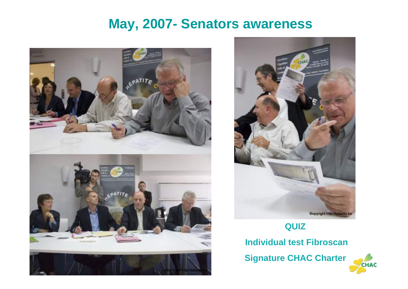### **May, 2007- Senators awareness**







#### **QUIZ**

**Individual test Fibroscan**

**Signature CHAC Charter**

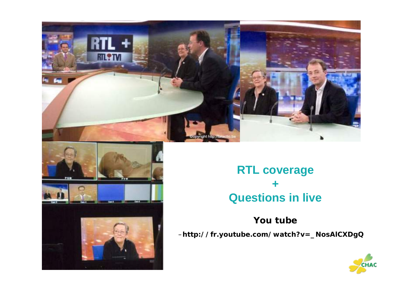



#### **RTL coverage + Questions in live**

#### **You tube**

–**http://fr.youtube.com/watch?v=\_NosAlCXDgQ**

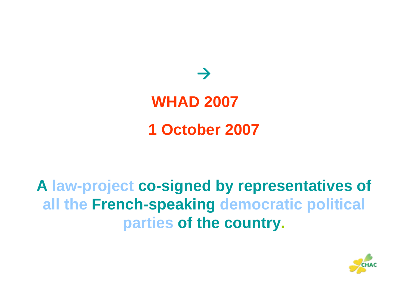

## **A law-project co-signed by representatives of all the French-speaking democratic political parties of the country.**

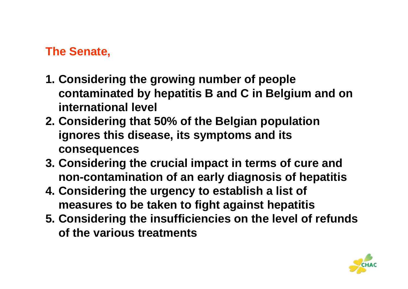### **The Senate,**

- **1. Considering the growing number of people contaminated by hepatitis B and C in Belgium and on international level**
- **2. Considering that 50% of the Belgian population ignores this disease, its symptoms and its consequences**
- **3. Considering the crucial impact in terms of cure and non-contamination of an early diagnosis of hepatitis**
- **4. Considering the urgency to establish a list of measures to be taken to fight against hepatitis**
- **5. Considering the insufficiencies on the level of refunds of the various treatments**

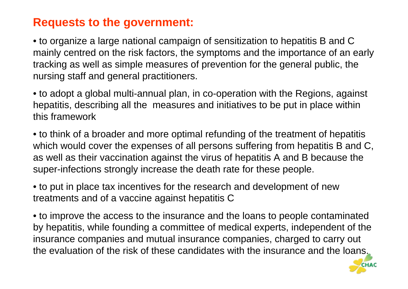#### **Requests to the government:**

• to organize a large national campaign of sensitization to hepatitis B and C mainly centred on the risk factors, the symptoms and the importance of an early tracking as well as simple measures of prevention for the general public, the nursing staff and general practitioners.

• to adopt a global multi-annual plan, in co-operation with the Regions, against hepatitis, describing all the measures and initiatives to be put in place within this framework

• to think of a broader and more optimal refunding of the treatment of hepatitis which would cover the expenses of all persons suffering from hepatitis B and C, as well as their vaccination against the virus of hepatitis A and B because the super-infections strongly increase the death rate for these people.

• to put in place tax incentives for the research and development of new treatments and of a vaccine against hepatitis C

• to improve the access to the insurance and the loans to people contaminated by hepatitis, while founding a committee of medical experts, independent of the insurance companies and mutual insurance companies, charged to carry out the evaluation of the risk of these candidates with the insurance and the loans.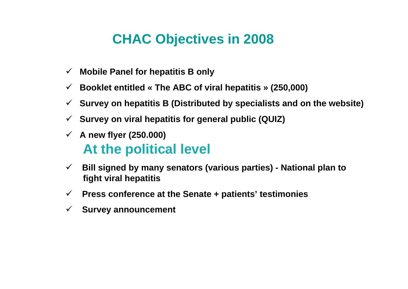### **CHAC Objectives in 2008**

- $\checkmark$ **Mobile Panel for hepatitis B only**
- $\checkmark$ **Booklet entitled « The ABC of viral hepatitis » (250,000)**
- $\checkmark$ **Survey on hepatitis B (Distributed by specialists and on the website)**
- $\checkmark$ **Survey on viral hepatitis for general public (QUIZ)**
- 9 **A new flyer (250.000) At the political level**
- $\checkmark$  **Bill signed by many senators (various parties) - National plan to fight viral hepatitis**
- $\checkmark$ **Press conference at the Senate + patients' testimonies**
- $\checkmark$ **Survey announcement**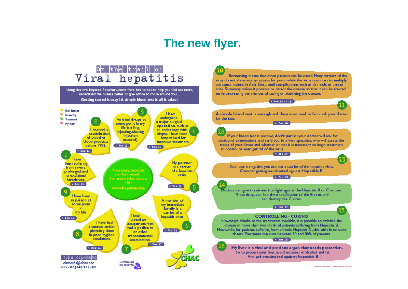#### **The new flyer.**